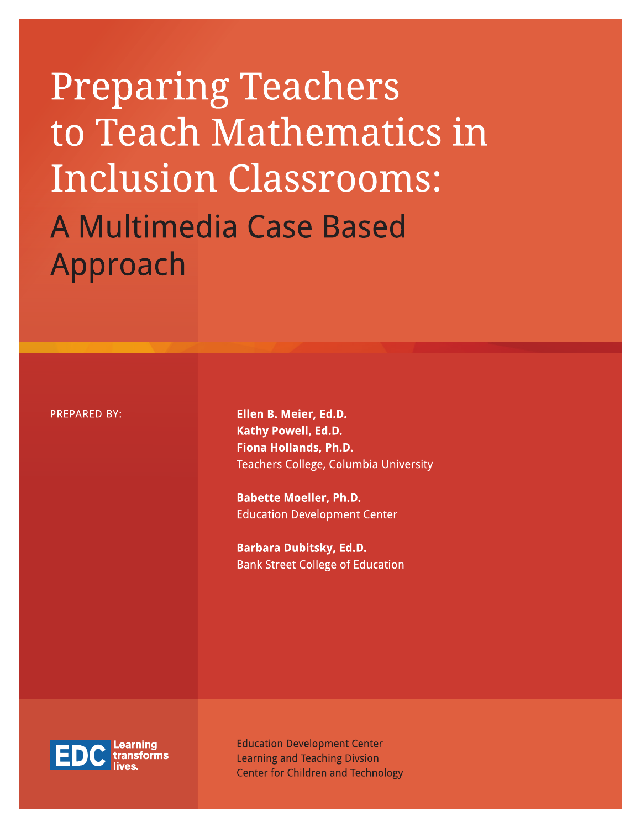**Preparing Teachers** to Teach Mathematics in **Inclusion Classrooms:** A Multimedia Case Based Approach

**PREPARED BY:** 

Ellen B. Meier, Ed.D. Kathy Powell, Ed.D. **Fiona Hollands, Ph.D.** Teachers College, Columbia University

**Babette Moeller, Ph.D. Education Development Center** 

**Barbara Dubitsky, Ed.D. Bank Street College of Education** 



**Education Development Center Learning and Teaching Divsion Center for Children and Technology**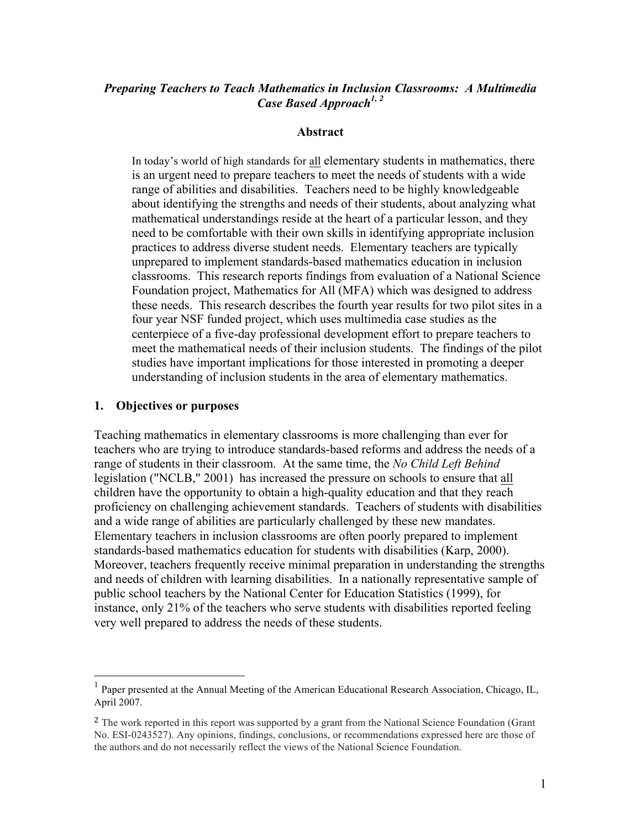## *Preparing Teachers to Teach Mathematics in Inclusion Classrooms: A Multimedia Case Based Approach1, <sup>2</sup>*

#### **Abstract**

In today's world of high standards for all elementary students in mathematics, there is an urgent need to prepare teachers to meet the needs of students with a wide range of abilities and disabilities. Teachers need to be highly knowledgeable about identifying the strengths and needs of their students, about analyzing what mathematical understandings reside at the heart of a particular lesson, and they need to be comfortable with their own skills in identifying appropriate inclusion practices to address diverse student needs. Elementary teachers are typically unprepared to implement standards-based mathematics education in inclusion classrooms. This research reports findings from evaluation of a National Science Foundation project, Mathematics for All (MFA) which was designed to address these needs. This research describes the fourth year results for two pilot sites in a four year NSF funded project, which uses multimedia case studies as the centerpiece of a five-day professional development effort to prepare teachers to meet the mathematical needs of their inclusion students. The findings of the pilot studies have important implications for those interested in promoting a deeper understanding of inclusion students in the area of elementary mathematics.

#### **1. Objectives or purposes**

Teaching mathematics in elementary classrooms is more challenging than ever for teachers who are trying to introduce standards-based reforms and address the needs of a range of students in their classroom. At the same time, the *No Child Left Behind*  legislation ("NCLB," 2001) has increased the pressure on schools to ensure that all children have the opportunity to obtain a high-quality education and that they reach proficiency on challenging achievement standards. Teachers of students with disabilities and a wide range of abilities are particularly challenged by these new mandates. Elementary teachers in inclusion classrooms are often poorly prepared to implement standards-based mathematics education for students with disabilities (Karp, 2000). Moreover, teachers frequently receive minimal preparation in understanding the strengths and needs of children with learning disabilities. In a nationally representative sample of public school teachers by the National Center for Education Statistics (1999), for instance, only 21% of the teachers who serve students with disabilities reported feeling very well prepared to address the needs of these students.

 <sup>1</sup> Paper presented at the Annual Meeting of the American Educational Research Association, Chicago, IL, April 2007.

<sup>&</sup>lt;sup>2</sup> The work reported in this report was supported by a grant from the National Science Foundation (Grant No. ESI-0243527). Any opinions, findings, conclusions, or recommendations expressed here are those of the authors and do not necessarily reflect the views of the National Science Foundation.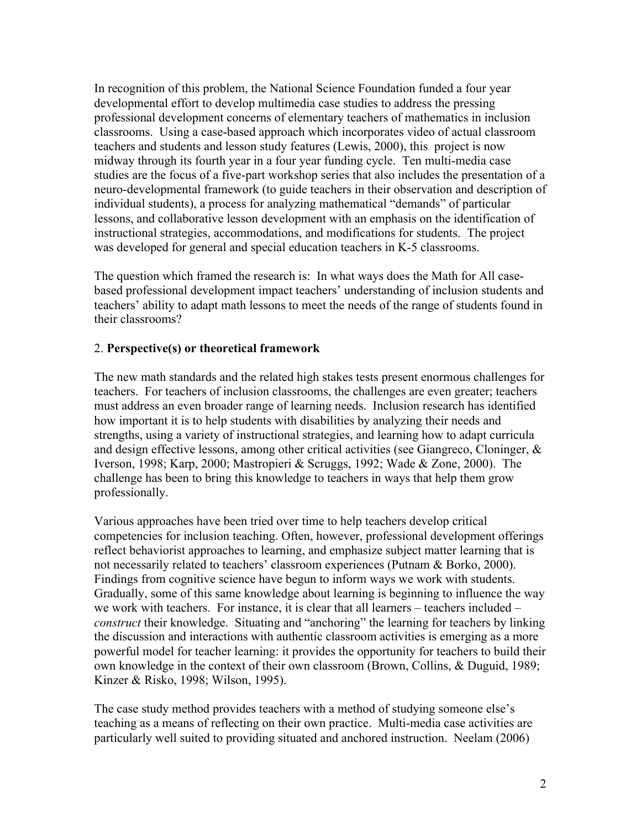In recognition of this problem, the National Science Foundation funded a four year developmental effort to develop multimedia case studies to address the pressing professional development concerns of elementary teachers of mathematics in inclusion classrooms. Using a case-based approach which incorporates video of actual classroom teachers and students and lesson study features (Lewis, 2000), this project is now midway through its fourth year in a four year funding cycle. Ten multi-media case studies are the focus of a five-part workshop series that also includes the presentation of a neuro-developmental framework (to guide teachers in their observation and description of individual students), a process for analyzing mathematical "demands" of particular lessons, and collaborative lesson development with an emphasis on the identification of instructional strategies, accommodations, and modifications for students. The project was developed for general and special education teachers in K-5 classrooms.

The question which framed the research is: In what ways does the Math for All casebased professional development impact teachers' understanding of inclusion students and teachers' ability to adapt math lessons to meet the needs of the range of students found in their classrooms?

## 2. **Perspective(s) or theoretical framework**

The new math standards and the related high stakes tests present enormous challenges for teachers. For teachers of inclusion classrooms, the challenges are even greater; teachers must address an even broader range of learning needs. Inclusion research has identified how important it is to help students with disabilities by analyzing their needs and strengths, using a variety of instructional strategies, and learning how to adapt curricula and design effective lessons, among other critical activities (see Giangreco, Cloninger, & Iverson, 1998; Karp, 2000; Mastropieri & Scruggs, 1992; Wade & Zone, 2000). The challenge has been to bring this knowledge to teachers in ways that help them grow professionally.

Various approaches have been tried over time to help teachers develop critical competencies for inclusion teaching. Often, however, professional development offerings reflect behaviorist approaches to learning, and emphasize subject matter learning that is not necessarily related to teachers' classroom experiences (Putnam & Borko, 2000). Findings from cognitive science have begun to inform ways we work with students. Gradually, some of this same knowledge about learning is beginning to influence the way we work with teachers. For instance, it is clear that all learners – teachers included – *construct* their knowledge. Situating and "anchoring" the learning for teachers by linking the discussion and interactions with authentic classroom activities is emerging as a more powerful model for teacher learning: it provides the opportunity for teachers to build their own knowledge in the context of their own classroom (Brown, Collins, & Duguid, 1989; Kinzer & Risko, 1998; Wilson, 1995).

The case study method provides teachers with a method of studying someone else's teaching as a means of reflecting on their own practice. Multi-media case activities are particularly well suited to providing situated and anchored instruction. Neelam (2006)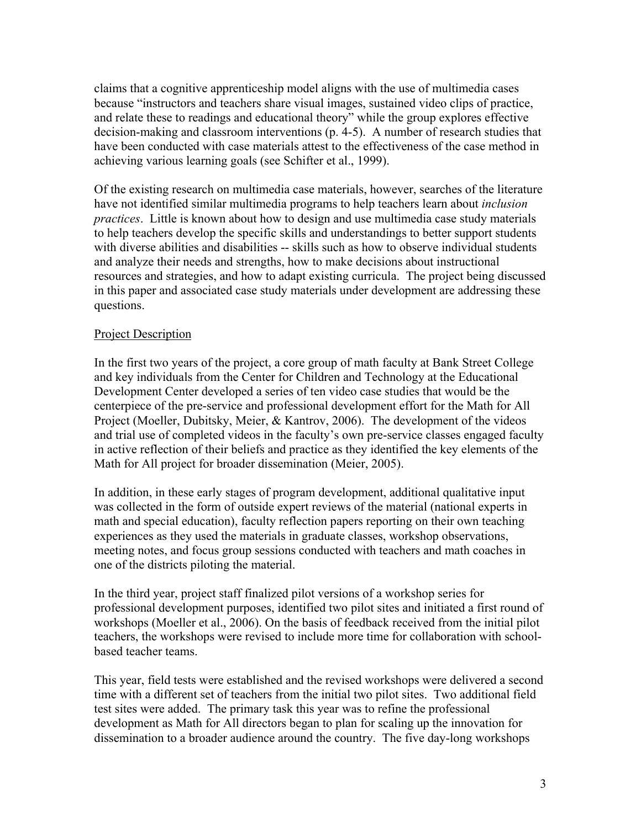claims that a cognitive apprenticeship model aligns with the use of multimedia cases because "instructors and teachers share visual images, sustained video clips of practice, and relate these to readings and educational theory" while the group explores effective decision-making and classroom interventions (p. 4-5). A number of research studies that have been conducted with case materials attest to the effectiveness of the case method in achieving various learning goals (see Schifter et al., 1999).

Of the existing research on multimedia case materials, however, searches of the literature have not identified similar multimedia programs to help teachers learn about *inclusion practices*. Little is known about how to design and use multimedia case study materials to help teachers develop the specific skills and understandings to better support students with diverse abilities and disabilities -- skills such as how to observe individual students and analyze their needs and strengths, how to make decisions about instructional resources and strategies, and how to adapt existing curricula. The project being discussed in this paper and associated case study materials under development are addressing these questions.

## Project Description

In the first two years of the project, a core group of math faculty at Bank Street College and key individuals from the Center for Children and Technology at the Educational Development Center developed a series of ten video case studies that would be the centerpiece of the pre-service and professional development effort for the Math for All Project (Moeller, Dubitsky, Meier, & Kantrov, 2006). The development of the videos and trial use of completed videos in the faculty's own pre-service classes engaged faculty in active reflection of their beliefs and practice as they identified the key elements of the Math for All project for broader dissemination (Meier, 2005).

In addition, in these early stages of program development, additional qualitative input was collected in the form of outside expert reviews of the material (national experts in math and special education), faculty reflection papers reporting on their own teaching experiences as they used the materials in graduate classes, workshop observations, meeting notes, and focus group sessions conducted with teachers and math coaches in one of the districts piloting the material.

In the third year, project staff finalized pilot versions of a workshop series for professional development purposes, identified two pilot sites and initiated a first round of workshops (Moeller et al., 2006). On the basis of feedback received from the initial pilot teachers, the workshops were revised to include more time for collaboration with schoolbased teacher teams.

This year, field tests were established and the revised workshops were delivered a second time with a different set of teachers from the initial two pilot sites. Two additional field test sites were added. The primary task this year was to refine the professional development as Math for All directors began to plan for scaling up the innovation for dissemination to a broader audience around the country. The five day-long workshops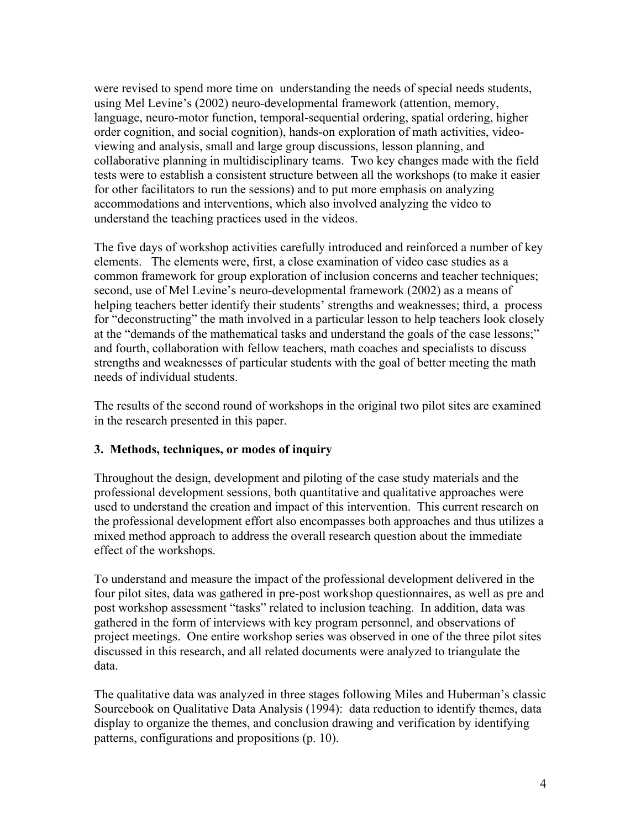were revised to spend more time on understanding the needs of special needs students, using Mel Levine's (2002) neuro-developmental framework (attention, memory, language, neuro-motor function, temporal-sequential ordering, spatial ordering, higher order cognition, and social cognition), hands-on exploration of math activities, videoviewing and analysis, small and large group discussions, lesson planning, and collaborative planning in multidisciplinary teams. Two key changes made with the field tests were to establish a consistent structure between all the workshops (to make it easier for other facilitators to run the sessions) and to put more emphasis on analyzing accommodations and interventions, which also involved analyzing the video to understand the teaching practices used in the videos.

The five days of workshop activities carefully introduced and reinforced a number of key elements. The elements were, first, a close examination of video case studies as a common framework for group exploration of inclusion concerns and teacher techniques; second, use of Mel Levine's neuro-developmental framework (2002) as a means of helping teachers better identify their students' strengths and weaknesses; third, a process for "deconstructing" the math involved in a particular lesson to help teachers look closely at the "demands of the mathematical tasks and understand the goals of the case lessons;" and fourth, collaboration with fellow teachers, math coaches and specialists to discuss strengths and weaknesses of particular students with the goal of better meeting the math needs of individual students.

The results of the second round of workshops in the original two pilot sites are examined in the research presented in this paper.

# **3. Methods, techniques, or modes of inquiry**

Throughout the design, development and piloting of the case study materials and the professional development sessions, both quantitative and qualitative approaches were used to understand the creation and impact of this intervention. This current research on the professional development effort also encompasses both approaches and thus utilizes a mixed method approach to address the overall research question about the immediate effect of the workshops.

To understand and measure the impact of the professional development delivered in the four pilot sites, data was gathered in pre-post workshop questionnaires, as well as pre and post workshop assessment "tasks" related to inclusion teaching. In addition, data was gathered in the form of interviews with key program personnel, and observations of project meetings. One entire workshop series was observed in one of the three pilot sites discussed in this research, and all related documents were analyzed to triangulate the data.

The qualitative data was analyzed in three stages following Miles and Huberman's classic Sourcebook on Qualitative Data Analysis (1994): data reduction to identify themes, data display to organize the themes, and conclusion drawing and verification by identifying patterns, configurations and propositions (p. 10).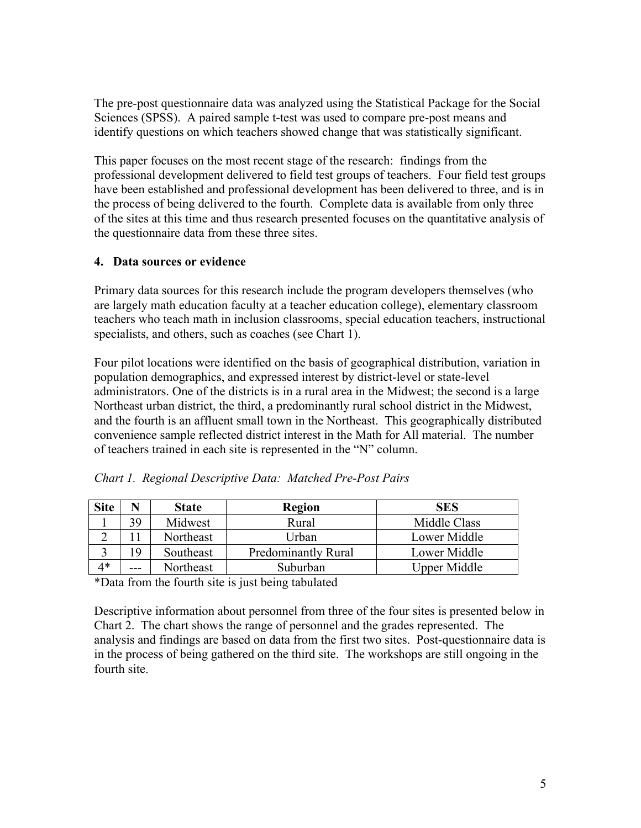The pre-post questionnaire data was analyzed using the Statistical Package for the Social Sciences (SPSS). A paired sample t-test was used to compare pre-post means and identify questions on which teachers showed change that was statistically significant.

This paper focuses on the most recent stage of the research: findings from the professional development delivered to field test groups of teachers. Four field test groups have been established and professional development has been delivered to three, and is in the process of being delivered to the fourth. Complete data is available from only three of the sites at this time and thus research presented focuses on the quantitative analysis of the questionnaire data from these three sites.

# **4. Data sources or evidence**

Primary data sources for this research include the program developers themselves (who are largely math education faculty at a teacher education college), elementary classroom teachers who teach math in inclusion classrooms, special education teachers, instructional specialists, and others, such as coaches (see Chart 1).

Four pilot locations were identified on the basis of geographical distribution, variation in population demographics, and expressed interest by district-level or state-level administrators. One of the districts is in a rural area in the Midwest; the second is a large Northeast urban district, the third, a predominantly rural school district in the Midwest, and the fourth is an affluent small town in the Northeast. This geographically distributed convenience sample reflected district interest in the Math for All material. The number of teachers trained in each site is represented in the "N" column.

| <b>Site</b> |     | <b>State</b> | <b>Region</b>              | <b>SES</b>          |
|-------------|-----|--------------|----------------------------|---------------------|
|             | 39  | Midwest      | Rural                      | Middle Class        |
|             |     | Northeast    | Urban                      | Lower Middle        |
|             | 19  | Southeast    | <b>Predominantly Rural</b> | Lower Middle        |
| $4*$        | --- | Northeast    | Suburban                   | <b>Upper Middle</b> |

*Chart 1. Regional Descriptive Data: Matched Pre-Post Pairs*

\*Data from the fourth site is just being tabulated

Descriptive information about personnel from three of the four sites is presented below in Chart 2. The chart shows the range of personnel and the grades represented. The analysis and findings are based on data from the first two sites. Post-questionnaire data is in the process of being gathered on the third site. The workshops are still ongoing in the fourth site.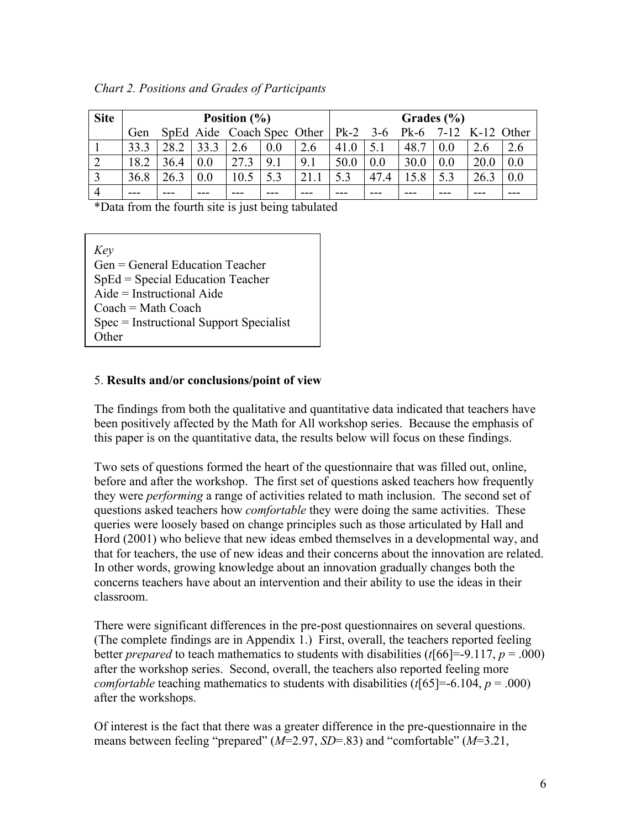| <b>Site</b> |             | Position $(\% )$ |      |                                                            |     |      | Grades $(\% )$ |      |      |     |      |     |
|-------------|-------------|------------------|------|------------------------------------------------------------|-----|------|----------------|------|------|-----|------|-----|
|             | <b>G</b> en |                  |      | SpEd Aide Coach Spec Other   Pk-2 3-6 Pk-6 7-12 K-12 Other |     |      |                |      |      |     |      |     |
|             | 33.3        | 28.2             | 33.3 | 2.6                                                        | 0.0 | 2.6  | 41.0           |      | 48.7 | 0.0 | 2.6  | 2.6 |
|             | 18.2        | 36.4             | 0.0  | 27.3                                                       | 9.1 | 9.1  | 50.0           | 0.0  | 30.0 | 0.0 | 20.0 |     |
|             | 36.8        | 26.3             | 0.0  | 10.5                                                       | 5.3 | 21.1 | 5.3            | 47.4 | 15.8 |     | 26.3 |     |
|             |             |                  |      |                                                            |     |      |                |      |      |     |      |     |

*Chart 2. Positions and Grades of Participants*

\*Data from the fourth site is just being tabulated

*Key* Gen = General Education Teacher SpEd = Special Education Teacher Aide = Instructional Aide Coach = Math Coach Spec = Instructional Support Specialist **Other** 

#### 5. **Results and/or conclusions/point of view**

The findings from both the qualitative and quantitative data indicated that teachers have been positively affected by the Math for All workshop series. Because the emphasis of this paper is on the quantitative data, the results below will focus on these findings.

Two sets of questions formed the heart of the questionnaire that was filled out, online, before and after the workshop. The first set of questions asked teachers how frequently they were *performing* a range of activities related to math inclusion. The second set of questions asked teachers how *comfortable* they were doing the same activities. These queries were loosely based on change principles such as those articulated by Hall and Hord (2001) who believe that new ideas embed themselves in a developmental way, and that for teachers, the use of new ideas and their concerns about the innovation are related. In other words, growing knowledge about an innovation gradually changes both the concerns teachers have about an intervention and their ability to use the ideas in their classroom.

There were significant differences in the pre-post questionnaires on several questions. (The complete findings are in Appendix 1.) First, overall, the teachers reported feeling better *prepared* to teach mathematics to students with disabilities ( $t[66] = -9.117$ ,  $p = .000$ ) after the workshop series. Second, overall, the teachers also reported feeling more *comfortable* teaching mathematics to students with disabilities ( $t$ [65]=-6.104,  $p = .000$ ) after the workshops.

Of interest is the fact that there was a greater difference in the pre-questionnaire in the means between feeling "prepared" (*M*=2.97, *SD*=.83) and "comfortable" (*M*=3.21,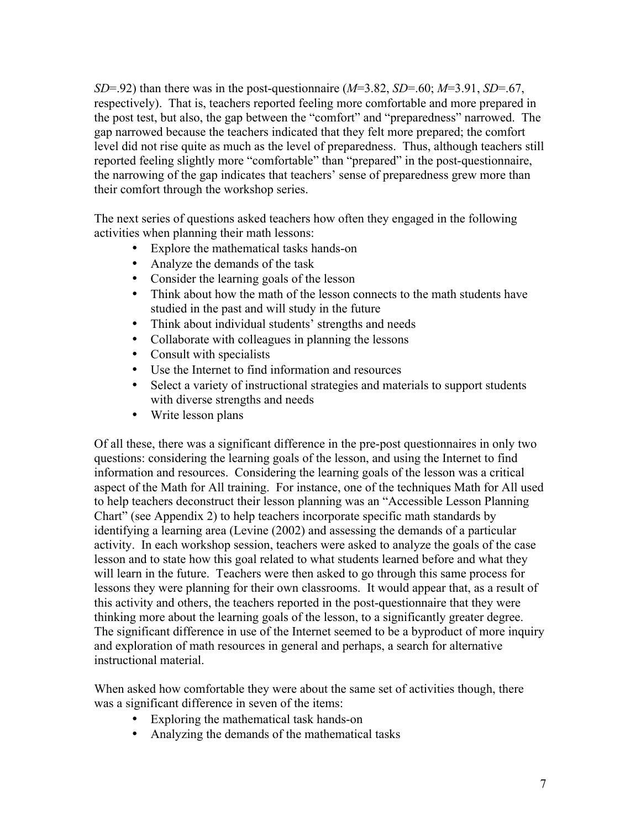*SD*=.92) than there was in the post-questionnaire ( $M=3.82$ , *SD*=.60;  $M=3.91$ , *SD*=.67, respectively). That is, teachers reported feeling more comfortable and more prepared in the post test, but also, the gap between the "comfort" and "preparedness" narrowed. The gap narrowed because the teachers indicated that they felt more prepared; the comfort level did not rise quite as much as the level of preparedness. Thus, although teachers still reported feeling slightly more "comfortable" than "prepared" in the post-questionnaire, the narrowing of the gap indicates that teachers' sense of preparedness grew more than their comfort through the workshop series.

The next series of questions asked teachers how often they engaged in the following activities when planning their math lessons:

- Explore the mathematical tasks hands-on
- Analyze the demands of the task
- Consider the learning goals of the lesson
- Think about how the math of the lesson connects to the math students have studied in the past and will study in the future
- Think about individual students' strengths and needs
- Collaborate with colleagues in planning the lessons
- Consult with specialists
- Use the Internet to find information and resources
- Select a variety of instructional strategies and materials to support students with diverse strengths and needs
- Write lesson plans

Of all these, there was a significant difference in the pre-post questionnaires in only two questions: considering the learning goals of the lesson, and using the Internet to find information and resources. Considering the learning goals of the lesson was a critical aspect of the Math for All training. For instance, one of the techniques Math for All used to help teachers deconstruct their lesson planning was an "Accessible Lesson Planning Chart" (see Appendix 2) to help teachers incorporate specific math standards by identifying a learning area (Levine (2002) and assessing the demands of a particular activity. In each workshop session, teachers were asked to analyze the goals of the case lesson and to state how this goal related to what students learned before and what they will learn in the future. Teachers were then asked to go through this same process for lessons they were planning for their own classrooms. It would appear that, as a result of this activity and others, the teachers reported in the post-questionnaire that they were thinking more about the learning goals of the lesson, to a significantly greater degree. The significant difference in use of the Internet seemed to be a byproduct of more inquiry and exploration of math resources in general and perhaps, a search for alternative instructional material.

When asked how comfortable they were about the same set of activities though, there was a significant difference in seven of the items:

- Exploring the mathematical task hands-on
- Analyzing the demands of the mathematical tasks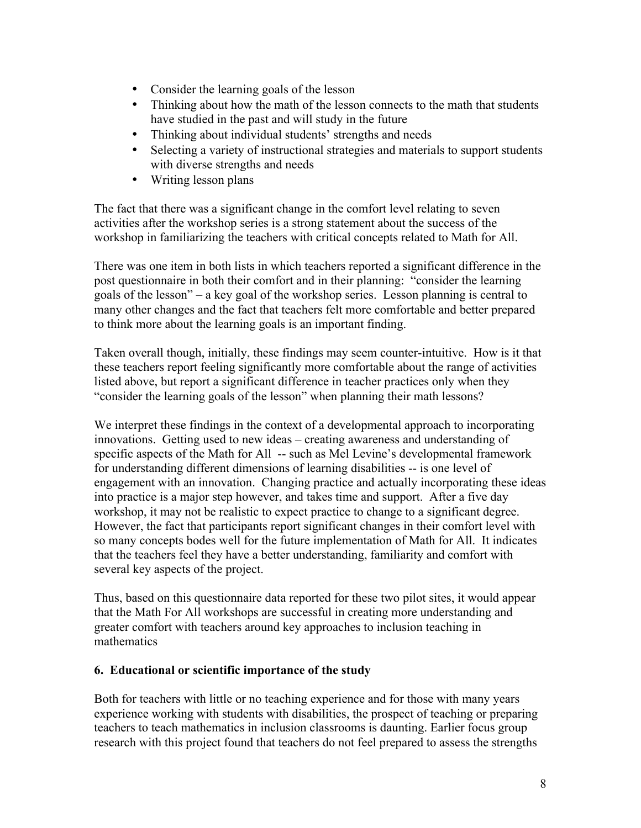- Consider the learning goals of the lesson
- Thinking about how the math of the lesson connects to the math that students have studied in the past and will study in the future
- Thinking about individual students' strengths and needs
- Selecting a variety of instructional strategies and materials to support students with diverse strengths and needs
- Writing lesson plans

The fact that there was a significant change in the comfort level relating to seven activities after the workshop series is a strong statement about the success of the workshop in familiarizing the teachers with critical concepts related to Math for All.

There was one item in both lists in which teachers reported a significant difference in the post questionnaire in both their comfort and in their planning: "consider the learning goals of the lesson" – a key goal of the workshop series. Lesson planning is central to many other changes and the fact that teachers felt more comfortable and better prepared to think more about the learning goals is an important finding.

Taken overall though, initially, these findings may seem counter-intuitive. How is it that these teachers report feeling significantly more comfortable about the range of activities listed above, but report a significant difference in teacher practices only when they "consider the learning goals of the lesson" when planning their math lessons?

We interpret these findings in the context of a developmental approach to incorporating innovations. Getting used to new ideas – creating awareness and understanding of specific aspects of the Math for All -- such as Mel Levine's developmental framework for understanding different dimensions of learning disabilities -- is one level of engagement with an innovation. Changing practice and actually incorporating these ideas into practice is a major step however, and takes time and support. After a five day workshop, it may not be realistic to expect practice to change to a significant degree. However, the fact that participants report significant changes in their comfort level with so many concepts bodes well for the future implementation of Math for All. It indicates that the teachers feel they have a better understanding, familiarity and comfort with several key aspects of the project.

Thus, based on this questionnaire data reported for these two pilot sites, it would appear that the Math For All workshops are successful in creating more understanding and greater comfort with teachers around key approaches to inclusion teaching in mathematics

# **6. Educational or scientific importance of the study**

Both for teachers with little or no teaching experience and for those with many years experience working with students with disabilities, the prospect of teaching or preparing teachers to teach mathematics in inclusion classrooms is daunting. Earlier focus group research with this project found that teachers do not feel prepared to assess the strengths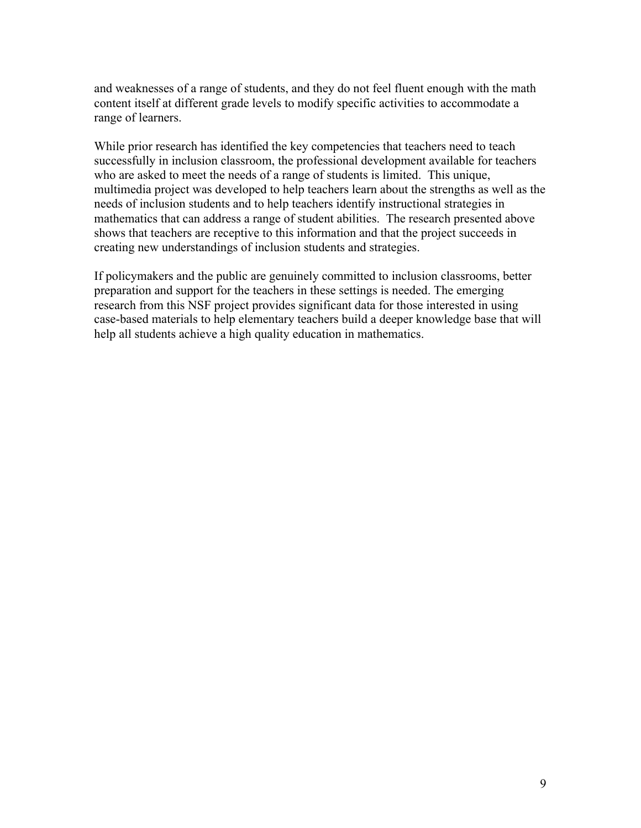and weaknesses of a range of students, and they do not feel fluent enough with the math content itself at different grade levels to modify specific activities to accommodate a range of learners.

While prior research has identified the key competencies that teachers need to teach successfully in inclusion classroom, the professional development available for teachers who are asked to meet the needs of a range of students is limited. This unique, multimedia project was developed to help teachers learn about the strengths as well as the needs of inclusion students and to help teachers identify instructional strategies in mathematics that can address a range of student abilities. The research presented above shows that teachers are receptive to this information and that the project succeeds in creating new understandings of inclusion students and strategies.

If policymakers and the public are genuinely committed to inclusion classrooms, better preparation and support for the teachers in these settings is needed. The emerging research from this NSF project provides significant data for those interested in using case-based materials to help elementary teachers build a deeper knowledge base that will help all students achieve a high quality education in mathematics.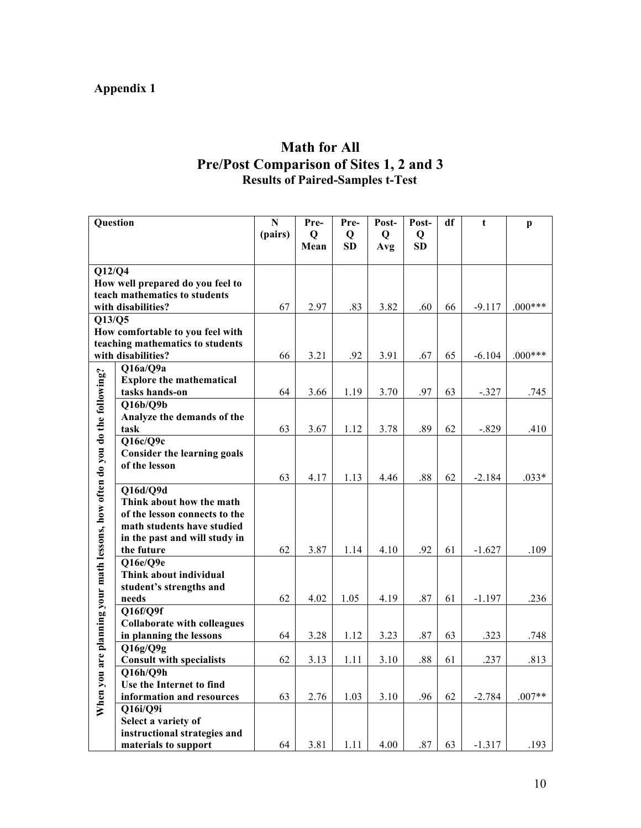# **Appendix 1**

# **Math for All Pre/Post Comparison of Sites 1, 2 and 3 Results of Paired-Samples t-Test**

| Question                                                                    |                                                | N       | Pre- | Pre-      | Post- | Post- | df | $\mathbf t$ | p         |
|-----------------------------------------------------------------------------|------------------------------------------------|---------|------|-----------|-------|-------|----|-------------|-----------|
|                                                                             |                                                | (pairs) | Q    | Q         | Q     | Q     |    |             |           |
|                                                                             |                                                |         | Mean | <b>SD</b> | Avg   | SD    |    |             |           |
|                                                                             |                                                |         |      |           |       |       |    |             |           |
| Q12/Q4                                                                      | How well prepared do you feel to               |         |      |           |       |       |    |             |           |
|                                                                             | teach mathematics to students                  |         |      |           |       |       |    |             |           |
|                                                                             | with disabilities?                             | 67      | 2.97 | .83       | 3.82  | .60   | 66 | $-9.117$    | $.000***$ |
| Q13/Q5                                                                      |                                                |         |      |           |       |       |    |             |           |
|                                                                             | How comfortable to you feel with               |         |      |           |       |       |    |             |           |
|                                                                             | teaching mathematics to students               |         |      |           |       |       |    |             |           |
|                                                                             | with disabilities?                             | 66      | 3.21 | .92       | 3.91  | .67   | 65 | $-6.104$    | $.000***$ |
|                                                                             | Q16a/Q9a                                       |         |      |           |       |       |    |             |           |
|                                                                             | <b>Explore the mathematical</b>                |         |      |           |       |       |    |             |           |
|                                                                             | tasks hands-on                                 | 64      | 3.66 | 1.19      | 3.70  | .97   | 63 | $-.327$     | .745      |
|                                                                             | Q16b/Q9b                                       |         |      |           |       |       |    |             |           |
|                                                                             | Analyze the demands of the                     |         |      |           |       |       |    |             |           |
|                                                                             | task                                           | 63      | 3.67 | 1.12      | 3.78  | .89   | 62 | $-.829$     | .410      |
|                                                                             | Q16c/Q9c                                       |         |      |           |       |       |    |             |           |
|                                                                             | <b>Consider the learning goals</b>             |         |      |           |       |       |    |             |           |
|                                                                             | of the lesson                                  |         |      |           |       |       |    |             |           |
|                                                                             |                                                | 63      | 4.17 | 1.13      | 4.46  | .88   | 62 | $-2.184$    | $.033*$   |
|                                                                             | Q16d/Q9d                                       |         |      |           |       |       |    |             |           |
|                                                                             | Think about how the math                       |         |      |           |       |       |    |             |           |
|                                                                             | of the lesson connects to the                  |         |      |           |       |       |    |             |           |
|                                                                             | math students have studied                     |         |      |           |       |       |    |             |           |
|                                                                             | in the past and will study in                  |         |      |           |       |       |    |             |           |
|                                                                             | the future                                     | 62      | 3.87 | 1.14      | 4.10  | .92   | 61 | $-1.627$    | .109      |
|                                                                             | Q16e/Q9e                                       |         |      |           |       |       |    |             |           |
|                                                                             | Think about individual                         |         |      |           |       |       |    |             |           |
|                                                                             | student's strengths and                        |         |      |           |       |       |    |             |           |
|                                                                             | needs                                          | 62      | 4.02 | 1.05      | 4.19  | .87   | 61 | $-1.197$    | .236      |
| When you are planning your math lessons, how often do you do the following? | Q16f/Q9f<br><b>Collaborate with colleagues</b> |         |      |           |       |       |    |             |           |
|                                                                             | in planning the lessons                        | 64      | 3.28 | 1.12      | 3.23  | .87   | 63 | .323        | .748      |
|                                                                             | Q16g/Q9g                                       |         |      |           |       |       |    |             |           |
|                                                                             | <b>Consult with specialists</b>                | 62      | 3.13 | 1.11      | 3.10  | .88   | 61 | .237        | .813      |
|                                                                             | Q16h/Q9h                                       |         |      |           |       |       |    |             |           |
|                                                                             | Use the Internet to find                       |         |      |           |       |       |    |             |           |
|                                                                             | information and resources                      | 63      | 2.76 | 1.03      | 3.10  | .96   | 62 | $-2.784$    | $.007**$  |
|                                                                             | Q16i/Q9i                                       |         |      |           |       |       |    |             |           |
|                                                                             | Select a variety of                            |         |      |           |       |       |    |             |           |
|                                                                             | instructional strategies and                   |         |      |           |       |       |    |             |           |
|                                                                             | materials to support                           | 64      | 3.81 | 1.11      | 4.00  | .87   | 63 | $-1.317$    | .193      |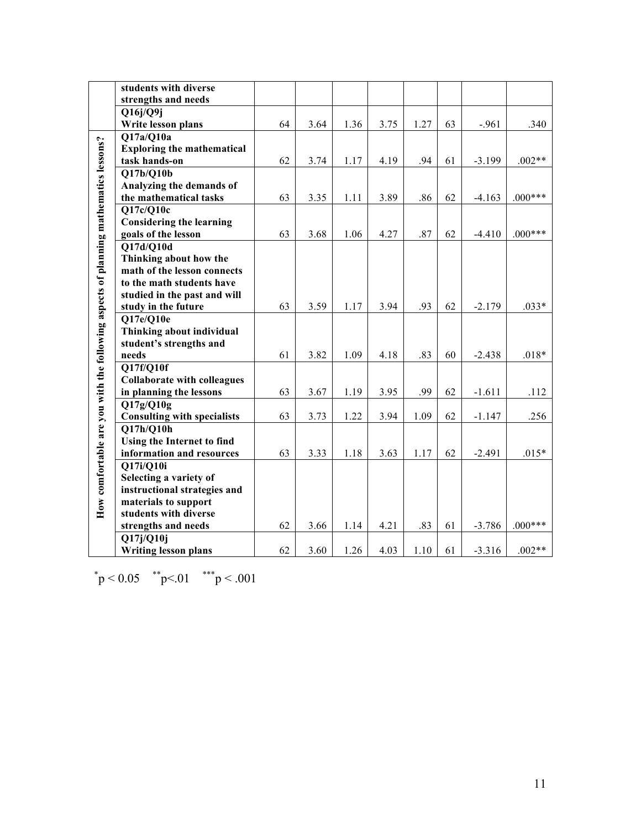|                                                                                     | students with diverse<br>strengths and needs  |    |      |      |      |      |    |          |           |
|-------------------------------------------------------------------------------------|-----------------------------------------------|----|------|------|------|------|----|----------|-----------|
|                                                                                     | Q16j/Q9j<br>Write lesson plans                | 64 | 3.64 | 1.36 | 3.75 | 1.27 | 63 | $-.961$  | .340      |
|                                                                                     | Q17a/Q10a                                     |    |      |      |      |      |    |          |           |
|                                                                                     | <b>Exploring the mathematical</b>             |    |      |      |      |      |    |          |           |
|                                                                                     | task hands-on                                 | 62 | 3.74 | 1.17 | 4.19 | .94  | 61 | $-3.199$ | $.002**$  |
|                                                                                     | Q17b/Q10b                                     |    |      |      |      |      |    |          |           |
|                                                                                     | Analyzing the demands of                      |    |      |      |      |      |    |          |           |
|                                                                                     | the mathematical tasks                        | 63 | 3.35 | 1.11 | 3.89 | .86  | 62 | $-4.163$ | $.000***$ |
|                                                                                     | Q17c/Q10c                                     |    |      |      |      |      |    |          |           |
|                                                                                     | <b>Considering the learning</b>               |    |      |      |      |      |    |          |           |
|                                                                                     | goals of the lesson                           | 63 | 3.68 | 1.06 | 4.27 | .87  | 62 | $-4.410$ | $.000***$ |
|                                                                                     | Q17d/Q10d                                     |    |      |      |      |      |    |          |           |
|                                                                                     | Thinking about how the                        |    |      |      |      |      |    |          |           |
|                                                                                     | math of the lesson connects                   |    |      |      |      |      |    |          |           |
|                                                                                     | to the math students have                     |    |      |      |      |      |    |          |           |
|                                                                                     | studied in the past and will                  |    |      |      |      |      |    |          |           |
| How comfortable are you with the following aspects of planning mathematics lessons? | study in the future                           | 63 | 3.59 | 1.17 | 3.94 | .93  | 62 | $-2.179$ | $.033*$   |
|                                                                                     | Q17e/Q10e                                     |    |      |      |      |      |    |          |           |
|                                                                                     | Thinking about individual                     |    |      |      |      |      |    |          |           |
|                                                                                     | student's strengths and                       |    |      |      |      |      |    |          |           |
|                                                                                     | needs                                         | 61 | 3.82 | 1.09 | 4.18 | .83  | 60 | $-2.438$ | $.018*$   |
|                                                                                     | Q17f/Q10f                                     |    |      |      |      |      |    |          |           |
|                                                                                     | <b>Collaborate with colleagues</b>            |    |      |      |      |      |    |          |           |
|                                                                                     | in planning the lessons                       | 63 | 3.67 | 1.19 | 3.95 | .99  | 62 | $-1.611$ | .112      |
|                                                                                     | Q17g/Q10g                                     |    |      |      |      |      |    |          |           |
|                                                                                     | <b>Consulting with specialists</b>            | 63 | 3.73 | 1.22 | 3.94 | 1.09 | 62 | $-1.147$ | .256      |
|                                                                                     | Q17h/Q10h                                     |    |      |      |      |      |    |          |           |
|                                                                                     | Using the Internet to find                    |    |      |      |      |      |    |          |           |
|                                                                                     | information and resources                     | 63 | 3.33 | 1.18 | 3.63 | 1.17 | 62 | $-2.491$ | $.015*$   |
|                                                                                     | Q17i/Q10i                                     |    |      |      |      |      |    |          |           |
|                                                                                     | Selecting a variety of                        |    |      |      |      |      |    |          |           |
|                                                                                     | instructional strategies and                  |    |      |      |      |      |    |          |           |
|                                                                                     | materials to support<br>students with diverse |    |      |      |      |      |    |          |           |
|                                                                                     | strengths and needs                           | 62 | 3.66 | 1.14 | 4.21 | .83  | 61 | $-3.786$ | $.000***$ |
|                                                                                     | Q17j/Q10j                                     |    |      |      |      |      |    |          |           |
|                                                                                     | <b>Writing lesson plans</b>                   | 62 | 3.60 | 1.26 | 4.03 | 1.10 | 61 | $-3.316$ | $.002**$  |
|                                                                                     |                                               |    |      |      |      |      |    |          |           |

 $p < 0.05$  \*\*p<.01 \*\*\*p < .001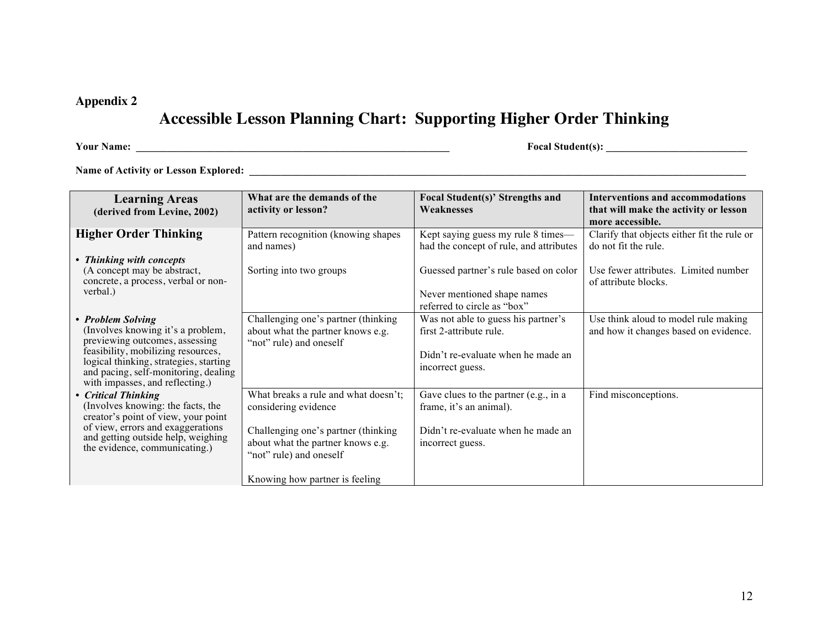**Appendix 2**

# **Accessible Lesson Planning Chart: Supporting Higher Order Thinking**

**Your Name: \_\_\_\_\_\_\_\_\_\_\_\_\_\_\_\_\_\_\_\_\_\_\_\_\_\_\_\_\_\_\_\_\_\_\_\_\_\_\_\_\_\_\_\_\_\_\_\_\_\_\_\_\_\_\_\_\_\_\_\_ Focal Student(s): \_\_\_\_\_\_\_\_\_\_\_\_\_\_\_\_\_\_\_\_\_\_\_\_\_\_\_**

**Name of Activity or Lesson Explored: \_\_\_\_\_\_\_\_\_\_\_\_\_\_\_\_\_\_\_\_\_\_\_\_\_\_\_\_\_\_\_\_\_\_\_\_\_\_\_\_\_\_\_\_\_\_\_\_\_\_\_\_\_\_\_\_\_\_\_\_\_\_\_\_\_\_\_\_\_\_\_\_\_\_\_\_\_\_\_\_\_\_\_\_\_\_\_\_\_\_\_\_\_\_\_**

| <b>Learning Areas</b><br>(derived from Levine, 2002)                                                                                                                                                                                                | What are the demands of the<br>activity or lesson?                                                                                                                                                    | Focal Student(s)' Strengths and<br>Weaknesses                                                                              | <b>Interventions and accommodations</b><br>that will make the activity or lesson<br>more accessible. |
|-----------------------------------------------------------------------------------------------------------------------------------------------------------------------------------------------------------------------------------------------------|-------------------------------------------------------------------------------------------------------------------------------------------------------------------------------------------------------|----------------------------------------------------------------------------------------------------------------------------|------------------------------------------------------------------------------------------------------|
| <b>Higher Order Thinking</b>                                                                                                                                                                                                                        | Pattern recognition (knowing shapes<br>and names)                                                                                                                                                     | Kept saying guess my rule 8 times—<br>had the concept of rule, and attributes                                              | Clarify that objects either fit the rule or<br>do not fit the rule.                                  |
| • Thinking with concepts<br>(A concept may be abstract,<br>concrete, a process, verbal or non-<br>verbal.)                                                                                                                                          | Sorting into two groups                                                                                                                                                                               | Guessed partner's rule based on color<br>Never mentioned shape names<br>referred to circle as "box"                        | Use fewer attributes. Limited number<br>of attribute blocks.                                         |
| • Problem Solving<br>(Involves knowing it's a problem,<br>previewing outcomes, assessing<br>feasibility, mobilizing resources,<br>logical thinking, strategies, starting<br>and pacing, self-monitoring, dealing<br>with impasses, and reflecting.) | Challenging one's partner (thinking<br>about what the partner knows e.g.<br>"not" rule) and oneself                                                                                                   | Was not able to guess his partner's<br>first 2-attribute rule.<br>Didn't re-evaluate when he made an<br>incorrect guess.   | Use think aloud to model rule making<br>and how it changes based on evidence.                        |
| • Critical Thinking<br>(Involves knowing: the facts, the<br>creator's point of view, your point<br>of view, errors and exaggerations<br>and getting outside help, weighing<br>the evidence, communicating.)                                         | What breaks a rule and what doesn't;<br>considering evidence<br>Challenging one's partner (thinking<br>about what the partner knows e.g.<br>"not" rule) and oneself<br>Knowing how partner is feeling | Gave clues to the partner (e.g., in a<br>frame, it's an animal).<br>Didn't re-evaluate when he made an<br>incorrect guess. | Find misconceptions.                                                                                 |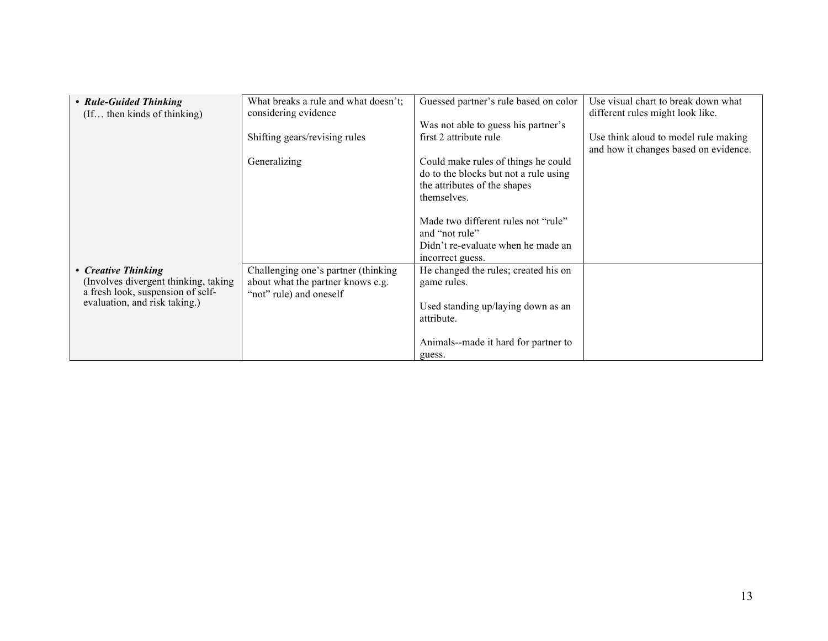| • Rule-Guided Thinking<br>(If then kinds of thinking) | What breaks a rule and what doesn't;<br>considering evidence | Guessed partner's rule based on color                | Use visual chart to break down what<br>different rules might look like.       |
|-------------------------------------------------------|--------------------------------------------------------------|------------------------------------------------------|-------------------------------------------------------------------------------|
|                                                       |                                                              | Was not able to guess his partner's                  |                                                                               |
|                                                       | Shifting gears/revising rules                                | first 2 attribute rule                               | Use think aloud to model rule making<br>and how it changes based on evidence. |
|                                                       | Generalizing                                                 | Could make rules of things he could                  |                                                                               |
|                                                       |                                                              | do to the blocks but not a rule using                |                                                                               |
|                                                       |                                                              | the attributes of the shapes                         |                                                                               |
|                                                       |                                                              | themselves.                                          |                                                                               |
|                                                       |                                                              |                                                      |                                                                               |
|                                                       |                                                              | Made two different rules not "rule"                  |                                                                               |
|                                                       |                                                              | and "not rule"<br>Didn't re-evaluate when he made an |                                                                               |
|                                                       |                                                              | incorrect guess.                                     |                                                                               |
| • Creative Thinking                                   | Challenging one's partner (thinking                          | He changed the rules; created his on                 |                                                                               |
| (Involves divergent thinking, taking                  | about what the partner knows e.g.                            | game rules.                                          |                                                                               |
| a fresh look, suspension of self-                     | "not" rule) and oneself                                      |                                                      |                                                                               |
| evaluation, and risk taking.)                         |                                                              | Used standing up/laying down as an                   |                                                                               |
|                                                       |                                                              | attribute.                                           |                                                                               |
|                                                       |                                                              |                                                      |                                                                               |
|                                                       |                                                              | Animals--made it hard for partner to                 |                                                                               |
|                                                       |                                                              | guess.                                               |                                                                               |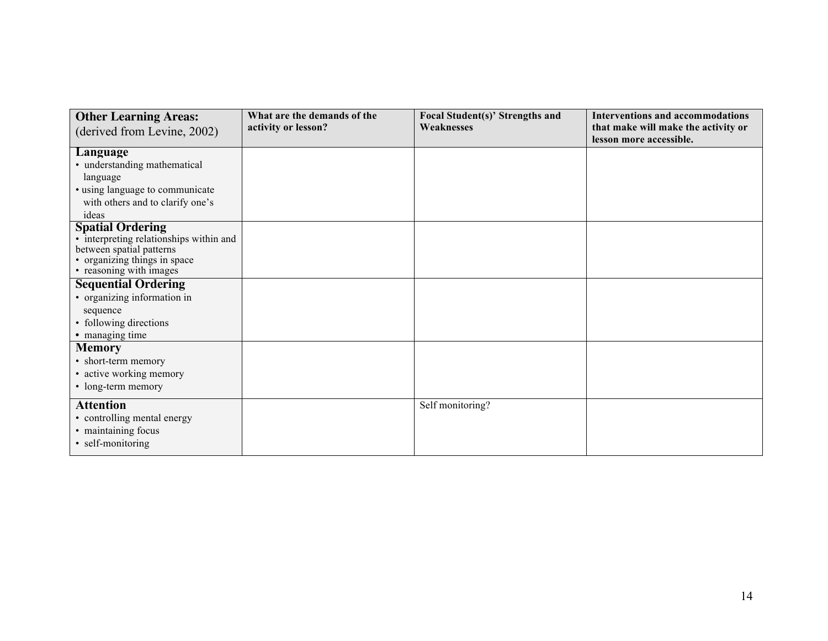| <b>Other Learning Areas:</b><br>(derived from Levine, 2002)                                                                                               | What are the demands of the<br>activity or lesson? | Focal Student(s)' Strengths and<br><b>Weaknesses</b> | <b>Interventions and accommodations</b><br>that make will make the activity or<br>lesson more accessible. |
|-----------------------------------------------------------------------------------------------------------------------------------------------------------|----------------------------------------------------|------------------------------------------------------|-----------------------------------------------------------------------------------------------------------|
| Language<br>• understanding mathematical<br>language<br>· using language to communicate<br>with others and to clarify one's<br>ideas                      |                                                    |                                                      |                                                                                                           |
| <b>Spatial Ordering</b><br>• interpreting relationships within and<br>between spatial patterns<br>• organizing things in space<br>• reasoning with images |                                                    |                                                      |                                                                                                           |
| <b>Sequential Ordering</b><br>• organizing information in<br>sequence<br>• following directions<br>• managing time                                        |                                                    |                                                      |                                                                                                           |
| <b>Memory</b><br>• short-term memory<br>• active working memory<br>• long-term memory                                                                     |                                                    |                                                      |                                                                                                           |
| <b>Attention</b><br>• controlling mental energy<br>· maintaining focus<br>· self-monitoring                                                               |                                                    | Self monitoring?                                     |                                                                                                           |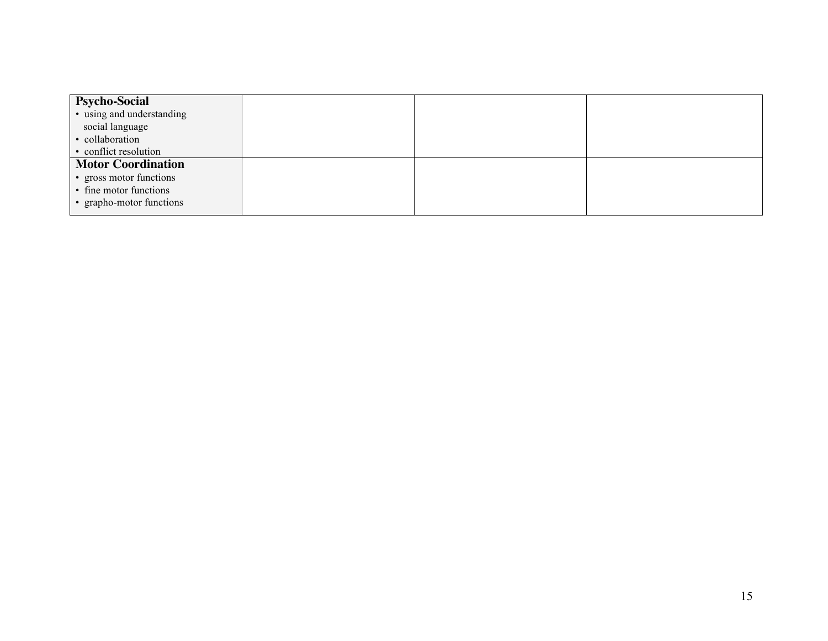| <b>Psycho-Social</b>      |  |  |
|---------------------------|--|--|
| • using and understanding |  |  |
| social language           |  |  |
| • collaboration           |  |  |
| • conflict resolution     |  |  |
| <b>Motor Coordination</b> |  |  |
| • gross motor functions   |  |  |
| • fine motor functions    |  |  |
| • grapho-motor functions  |  |  |
|                           |  |  |